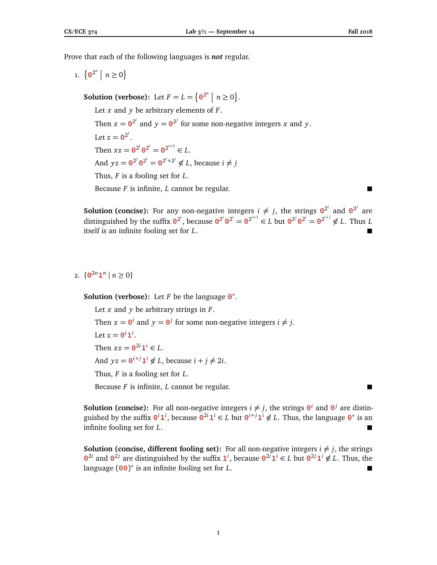Prove that each of the following languages is *not* regular.

1.  $\{ \mathbf{0}^{2^n} \mid n \geq 0 \}$ 

**Solution (verbose):** Let  $F = L = \{ \mathbf{0}^{2^n} \mid n \ge 0 \}.$ Let *x* and *y* be arbitrary elements of *F*. Then  $x = \mathbf{0}^{2^i}$  and  $y = \mathbf{0}^{2^j}$  for some non-negative integers *x* and *y*. Let  $z = \mathbf{0}^{2^i}$ . Then  $xz = \mathbf{0}^{2^i} \mathbf{0}^{2^i} = \mathbf{0}^{2^{i+1}} \in L$ . And  $yz = \mathbf{0}^{2^j} \mathbf{0}^{2^i} = \mathbf{0}^{2^i + 2^j} \notin L$ , because  $i \neq j$ Thus, *F* is a fooling set for *L*. Because *F* is infinite, *L* cannot be regular.

**Solution (concise):** For any non-negative integers  $i \neq j$ , the strings  $\mathbf{0}^{2^i}$  and  $\mathbf{0}^{2^j}$  are distinguished by the suffix  $\mathbf{0}^{2^i}$ , because  $\mathbf{0}^{2^i}\mathbf{0}^{2^i}=\mathbf{0}^{2^{i+1}}\in L$  but  $\mathbf{0}^{2^j}\mathbf{0}^{2^i}=\mathbf{0}^{2^{i+j}}\notin L$ . Thus L itself is an infinite fooling set for *L*.

## 2.  $\{ \mathbf{0}^{2n} \mathbf{1}^n \mid n \geq 0 \}$

**Solution (verbose):** Let *F* be the language **0** ∗ .

Let *x* and *y* be arbitrary strings in *F*. Then  $x = \mathbf{0}^i$  and  $y = \mathbf{0}^j$  for some non-negative integers  $i \neq j$ . Let  $z = \mathbf{0}^i \mathbf{1}^i$ . Then  $xz = \mathbf{0}^{2i} \mathbf{1}^i \in L$ . And  $yz = \mathbf{0}^{i+j} \mathbf{1}^i \notin L$ , because  $i + j \neq 2i$ . Thus, *F* is a fooling set for *L*. Because *F* is infinite, *L* cannot be regular.

**Solution (concise):** For all non-negative integers  $i \neq j$ , the strings  $\mathbf{0}^i$  and  $\mathbf{0}^j$  are distinguished by the suffix  $\mathbf{0}^i \mathbf{1}^i$ , because  $\mathbf{0}^{2i} \mathbf{1}^i \in L$  but  $\mathbf{0}^{i+j} \mathbf{1}^i \notin L$ . Thus, the language  $\mathbf{0}^*$  is an infinite fooling set for *L*.

**Solution (concise, different fooling set):** For all non-negative integers  $i \neq j$ , the strings  $\mathbf{0}^{2i}$  and  $\mathbf{0}^{2j}$  are distinguished by the suffix  $\mathbf{1}^i$ , because  $\mathbf{0}^{2i} \mathbf{1}^i$  ∈ *L* but  $\mathbf{0}^{2j} \mathbf{1}^i \notin L$ . Thus, the language  $(00)^*$  is an infinite fooling set for *L*. ■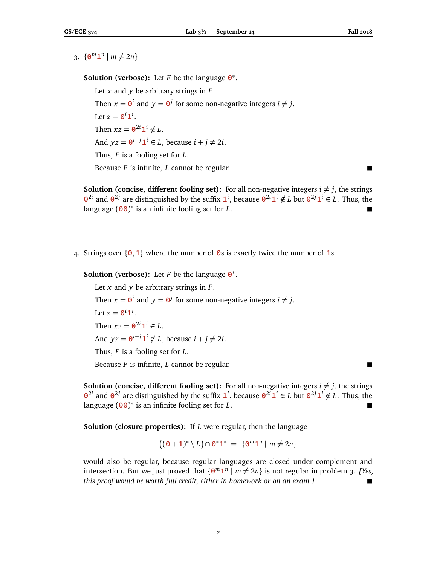3.  $\{ \mathbf{0}^m \mathbf{1}^n \mid m \neq 2n \}$ 

**Solution (verbose):** Let *F* be the language **0** ∗ .

Let *x* and *y* be arbitrary strings in *F*. Then  $x = \mathbf{0}^i$  and  $y = \mathbf{0}^j$  for some non-negative integers  $i \neq j$ . Let  $z = \mathbf{0}^i \mathbf{1}^i$ . Then  $xz = \mathbf{0}^{2i} \mathbf{1}^i \notin L$ . And  $yz = \mathbf{0}^{i+j} \mathbf{1}^i \in L$ , because  $i + j \neq 2i$ . Thus, *F* is a fooling set for *L*. Because *F* is infinite, *L* cannot be regular.

**Solution (concise, different fooling set):** For all non-negative integers  $i \neq j$ , the strings  $\mathbf{0}^{2i}$  and  $\mathbf{0}^{2j}$  are distinguished by the suffix  $\mathbf{1}^i$ , because  $\mathbf{0}^{2i} \mathbf{1}^i \notin L$  but  $\mathbf{0}^{2j} \mathbf{1}^i \in L$ . Thus, the language  $(00)^*$  is an infinite fooling set for *L*. ■

4. Strings over {**0**,**1**} where the number of **0**s is exactly twice the number of **1**s.

**Solution (verbose):** Let *F* be the language **0** ∗ .

Let *x* and *y* be arbitrary strings in *F*. Then  $x = \mathbf{0}^i$  and  $y = \mathbf{0}^j$  for some non-negative integers  $i \neq j$ . Let  $z = \mathbf{0}^i \mathbf{1}^i$ . Then  $xz = \mathbf{0}^{2i} \mathbf{1}^i \in L$ . And  $yz = \mathbf{0}^{i+j} \mathbf{1}^i \notin L$ , because  $i + j \neq 2i$ . Thus, *F* is a fooling set for *L*. Because *F* is infinite, *L* cannot be regular.

**Solution (concise, different fooling set):** For all non-negative integers  $i \neq j$ , the strings  $\mathbf{0}^{2i}$  and  $\mathbf{0}^{2j}$  are distinguished by the suffix  $\mathbf{1}^i$ , because  $\mathbf{0}^{2i} \mathbf{1}^i$  ∈ *L* but  $\mathbf{0}^{2j} \mathbf{1}^i \notin L$ . Thus, the language  $(00)^*$  is an infinite fooling set for *L*. ■

**Solution (closure properties):** If *L* were regular, then the language

$$
((0+1)^*\setminus L)\cap 0^*1^* = \{0^m1^n \mid m\neq 2n\}
$$

would also be regular, because regular languages are closed under complement and intersection. But we just proved that  $\{0^m 1^n \mid m \neq 2n\}$  is not regular in problem 3. [Yes, *this proof would be worth full credit, either in homework or on an exam.]*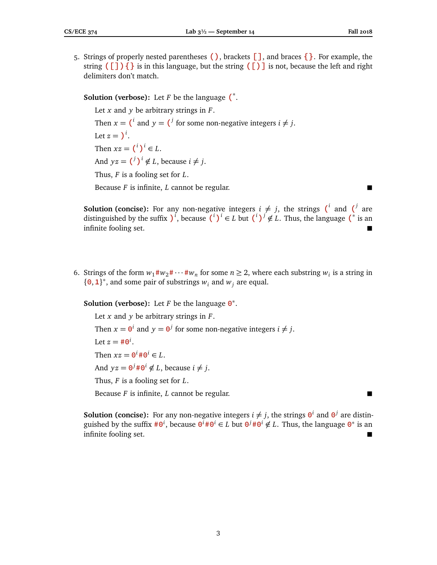5. Strings of properly nested parentheses **()**, brackets **[]**, and braces **{}**. For example, the string **([]){}** is in this language, but the string **([)]** is not, because the left and right delimiters don't match.

# **Solution (verbose):** Let *F* be the language **(** ∗ .

Let *x* and *y* be arbitrary strings in *F*. Then  $x = \mathbf{I}^i$  and  $y = \mathbf{I}^j$  for some non-negative integers  $i \neq j$ . Let  $z = \mathcal{V}^i$ . Then  $xz = {i}^i$   $i \in L$ . And  $yz = {^{j} )}^i \notin L$ , because  $i \neq j$ . Thus, *F* is a fooling set for *L*. Because *F* is infinite, *L* cannot be regular.

**Solution (concise):** For any non-negative integers  $i \neq j$ , the strings (<sup>*i*</sup> and (<sup>*j*</sup> are distinguished by the suffix  $\int_0^i$ , because  $\left(\frac{i}{\mu}\right)^i \in L$  but  $\left(\frac{i}{\mu}\right)^j \notin L$ . Thus, the language  $\left(\frac{i}{\mu}\right)^j$  is an infinite fooling set.

6. Strings of the form  $w_1 \# w_2 \# \cdots \# w_n$  for some  $n \geq 2$ , where each substring  $w_i$  is a string in  ${ \{0, 1\} }^*$ , and some pair of substrings  $w_i$  and  $w_j$  are equal.

**Solution (verbose):** Let *F* be the language **0** ∗ .

Let *x* and *y* be arbitrary strings in *F*. Then  $x = \mathbf{0}^i$  and  $y = \mathbf{0}^j$  for some non-negative integers  $i \neq j$ . Let  $z = #0^i$ . Then  $xz = \mathbf{0}^i \# \mathbf{0}^i \in L$ . And  $yz = 0^j \# 0^i \notin L$ , because  $i \neq j$ . Thus, *F* is a fooling set for *L*. Because *F* is infinite, *L* cannot be regular.

**Solution (concise):** For any non-negative integers  $i \neq j$ , the strings  $\mathbf{\Theta}^i$  and  $\mathbf{\Theta}^j$  are distinguished by the suffix  $\#0^i$ , because  $0^i \#0^i \in L$  but  $0^j \#0^i \notin L$ . Thus, the language  $0^*$  is an infinite fooling set.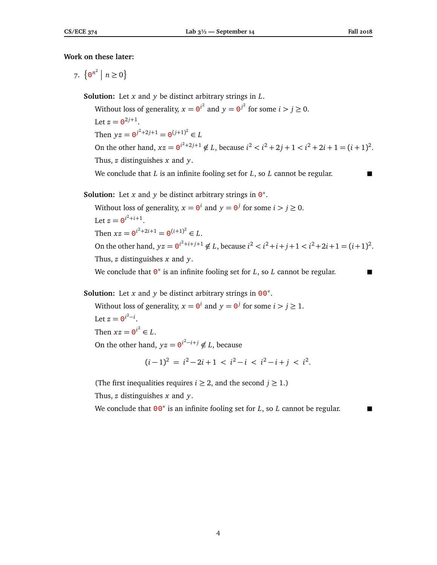### **Work on these later:**

7.  $\{0^{n^2} \mid n \ge 0\}$ 

**Solution:** Let *x* and *y* be distinct arbitrary strings in *L*.

Without loss of generality,  $x = e^{i^2}$  and  $y = e^{i^2}$  for some  $i > j \ge 0$ . Let  $z = \mathbf{0}^{2j+1}$ . Then  $yz = \mathbf{0}^{j^2 + 2j + 1} = \mathbf{0}^{(j+1)^2} \in L$ On the other hand,  $xz = e^{i^2 + 2j + 1} \notin L$ , because  $i^2 < i^2 + 2j + 1 < i^2 + 2i + 1 = (i + 1)^2$ . Thus, *z* distinguishes *x* and *y*.

We conclude that *L* is an infinite fooling set for *L*, so *L* cannot be regular.

# **Solution:** Let *x* and *y* be distinct arbitrary strings in  $\mathbf{0}^*$ .

Without loss of generality,  $x = 0^i$  and  $y = 0^j$  for some  $i > j \ge 0$ . Let  $z = \mathbf{0}^{i^2 + i + 1}$ . Then  $xz = \mathbf{0}^{i^2 + 2i + 1} = \mathbf{0}^{(i+1)^2} \in L$ . On the other hand,  $yz = 0^{i^2 + i + j + 1} \notin L$ , because  $i^2 < i^2 + i + j + 1 < i^2 + 2i + 1 = (i + 1)^2$ . Thus, *z* distinguishes *x* and *y*. We conclude that  $\mathbf{0}^*$  is an infinite fooling set for *L*, so *L* cannot be regular.

**Solution:** Let *x* and *y* be distinct arbitrary strings in **00** ∗ .

Without loss of generality,  $x = 0^i$  and  $y = 0^j$  for some  $i > j \ge 1$ . Let  $z = \mathbf{0}^{i^2 - i}$ . Then  $xz = \mathbf{0}^{i^2} \in L$ . On the other hand,  $yz = 0^{i^2 - i + j} \notin L$ , because

$$
(i-1)^2 = i^2 - 2i + 1 < i^2 - i < i^2 - i + j < i^2.
$$

(The first inequalities requires *i*  $\geq$  2, and the second *j*  $\geq$  1.)

Thus, *z* distinguishes *x* and *y*.

We conclude that **00**<sup>∗</sup> is an infinite fooling set for *L*, so *L* cannot be regular.